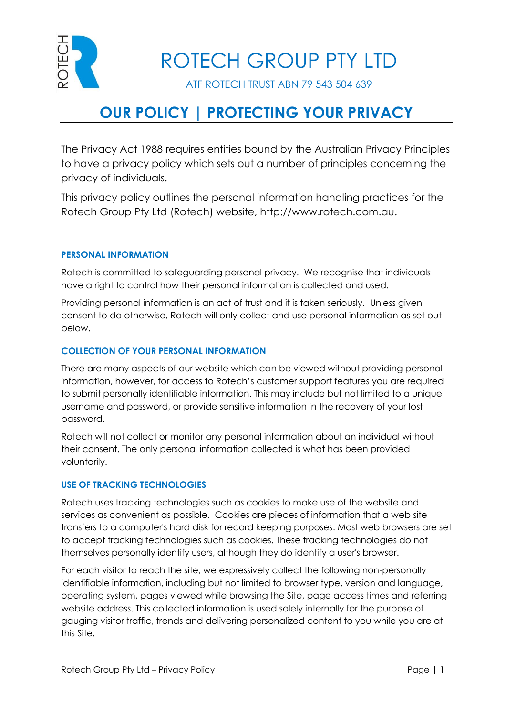

ROTECH GROUP PTY LTD

ATF ROTECH TRUST ABN 79 543 504 639

# **OUR POLICY | PROTECTING YOUR PRIVACY**

The Privacy Act 1988 requires entities bound by the Australian Privacy Principles to have a privacy policy which sets out a number of principles concerning the privacy of individuals.

This privacy policy outlines the personal information handling practices for the Rotech Group Pty Ltd (Rotech) website, [http://www.rotech.com.au.](http://www.rotech.com.au/)

## **PERSONAL INFORMATION**

Rotech is committed to safeguarding personal privacy. We recognise that individuals have a right to control how their personal information is collected and used.

Providing personal information is an act of trust and it is taken seriously. Unless given consent to do otherwise, Rotech will only collect and use personal information as set out below.

## **COLLECTION OF YOUR PERSONAL INFORMATION**

There are many aspects of our website which can be viewed without providing personal information, however, for access to Rotech's customer support features you are required to submit personally identifiable information. This may include but not limited to a unique username and password, or provide sensitive information in the recovery of your lost password.

Rotech will not collect or monitor any personal information about an individual without their consent. The only personal information collected is what has been provided voluntarily.

### **USE OF TRACKING TECHNOLOGIES**

Rotech uses tracking technologies such as cookies to make use of the website and services as convenient as possible. Cookies are pieces of information that a web site transfers to a computer's hard disk for record keeping purposes. Most web browsers are set to accept tracking technologies such as cookies. These tracking technologies do not themselves personally identify users, although they do identify a user's browser.

For each visitor to reach the site, we expressively collect the following non-personally identifiable information, including but not limited to browser type, version and language, operating system, pages viewed while browsing the Site, page access times and referring website address. This collected information is used solely internally for the purpose of gauging visitor traffic, trends and delivering personalized content to you while you are at this Site.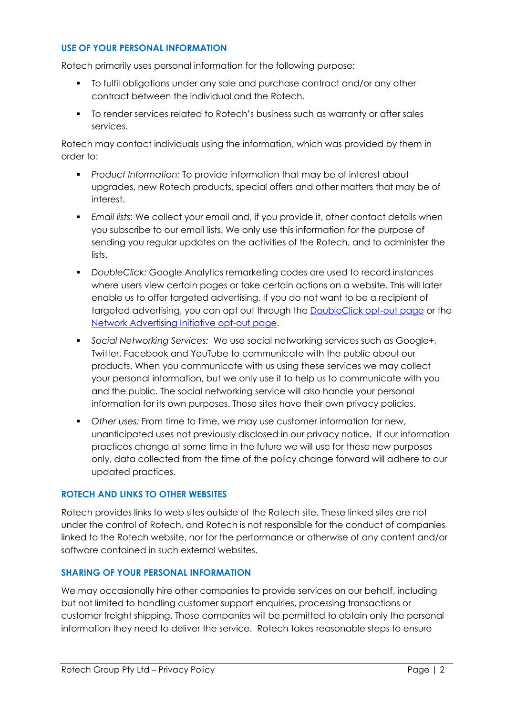### **USE OF YOUR PERSONAL INFORMATION**

Rotech primarily uses personal information for the following purpose:

- To fulfil obligations under any sale and purchase contract and/or any other contract between the individual and the Rotech.
- To render services related to Rotech's business such as warranty or after sales services.

Rotech may contact individuals using the information, which was provided by them in order to:

- *Product Information:* To provide information that may be of interest about upgrades, new Rotech products, special offers and other matters that may be of interest.
- *Email lists:* We collect your email and, if you provide it, other contact details when you subscribe to our email lists. We only use this information for the purpose of sending you regular updates on the activities of the Rotech, and to administer the lists.
- *DoubleClick:* Google Analytics remarketing codes are used to record instances where users view certain pages or take certain actions on a website. This will later enable us to offer targeted advertising. If you do not want to be a recipient of targeted advertising, you can opt out through the [DoubleClick opt-out page](https://www.google.com/settings/u/0/ads?hl=en-GB&sig=ACi0TChCq7YiEvmZszIT7LjY6Symq8nLB419SKK4esR9n0rd9djUjr7zbIpAJuJUsQ4OodYU5A5w_0trobqcsBLKF8FkrMuQ81JmFF_bnUBJpxcWmPjSbYdixo8f-Bei5SFgQrEwjLwNV8AM6uNDGlK8uR2bll7Y6wY2hS_BsIC_mY8IqTqhuUo#display_optout) or the [Network Advertising Initiative opt-out page.](http://www.networkadvertising.org/choices/#completed)
- *Social Networking Services:* We use social networking services such as Google+, Twitter, Facebook and YouTube to communicate with the public about our products. When you communicate with us using these services we may collect your personal information, but we only use it to help us to communicate with you and the public. The social networking service will also handle your personal information for its own purposes. These sites have their own privacy policies.
- *Other uses:* From time to time, we may use customer information for new, unanticipated uses not previously disclosed in our privacy notice. If our information practices change at some time in the future we will use for these new purposes only, data collected from the time of the policy change forward will adhere to our updated practices.

## **ROTECH AND LINKS TO OTHER WEBSITES**

Rotech provides links to web sites outside of the Rotech site. These linked sites are not under the control of Rotech, and Rotech is not responsible for the conduct of companies linked to the Rotech website, nor for the performance or otherwise of any content and/or software contained in such external websites.

## **SHARING OF YOUR PERSONAL INFORMATION**

We may occasionally hire other companies to provide services on our behalf, including but not limited to handling customer support enquiries, processing transactions or customer freight shipping. Those companies will be permitted to obtain only the personal information they need to deliver the service. Rotech takes reasonable steps to ensure